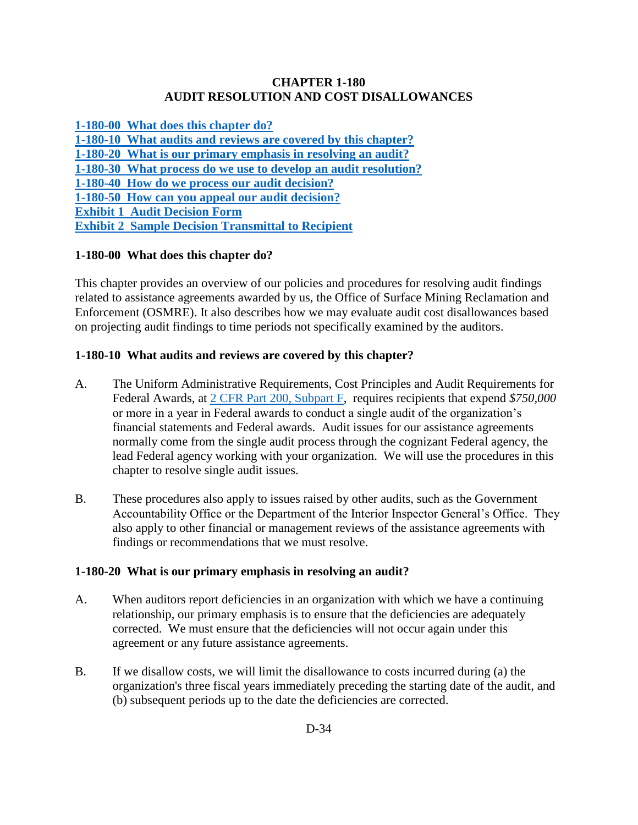#### **CHAPTER 1-180 AUDIT RESOLUTION AND COST DISALLOWANCES**

**[1-180-00 What does this chapter do?](#page-0-0)**

**[1-180-10 What audits and reviews are covered by this chapter?](#page-0-1)**

**[1-180-20 What is our primary emphasis in resolving an audit?](#page-0-2)**

**[1-180-30 What process do we use to develop an audit resolution?](#page-1-0)**

**[1-180-40 How do we process our audit decision?](#page-3-0)**

**[1-180-50 How can you appeal our audit decision?](#page-5-0)**

**[Exhibit 1 Audit Decision Form](#page-7-0)**

**[Exhibit 2 Sample Decision Transmittal to Recipient](#page-8-0)**

## <span id="page-0-0"></span>**1-180-00 What does this chapter do?**

This chapter provides an overview of our policies and procedures for resolving audit findings related to assistance agreements awarded by us, the Office of Surface Mining Reclamation and Enforcement (OSMRE). It also describes how we may evaluate audit cost disallowances based on projecting audit findings to time periods not specifically examined by the auditors.

## <span id="page-0-1"></span>**1-180-10 What audits and reviews are covered by this chapter?**

- A. The Uniform Administrative Requirements, Cost Principles and Audit Requirements for Federal Awards, at [2 CFR Part 200, Subpart F,](http://www.ecfr.gov/cgi-bin/text-idx?SID=94b7e0e32f88dc784a9e1b22aea9392c&node=pt2.1.200&rgn=div5#sp2.1.200.d) requires recipients that expend *\$750,000*  or more in a year in Federal awards to conduct a single audit of the organization's financial statements and Federal awards. Audit issues for our assistance agreements normally come from the single audit process through the cognizant Federal agency, the lead Federal agency working with your organization. We will use the procedures in this chapter to resolve single audit issues.
- B. These procedures also apply to issues raised by other audits, such as the Government Accountability Office or the Department of the Interior Inspector General's Office. They also apply to other financial or management reviews of the assistance agreements with findings or recommendations that we must resolve.

## <span id="page-0-2"></span>**1-180-20 What is our primary emphasis in resolving an audit?**

- A. When auditors report deficiencies in an organization with which we have a continuing relationship, our primary emphasis is to ensure that the deficiencies are adequately corrected. We must ensure that the deficiencies will not occur again under this agreement or any future assistance agreements.
- B. If we disallow costs, we will limit the disallowance to costs incurred during (a) the organization's three fiscal years immediately preceding the starting date of the audit, and (b) subsequent periods up to the date the deficiencies are corrected.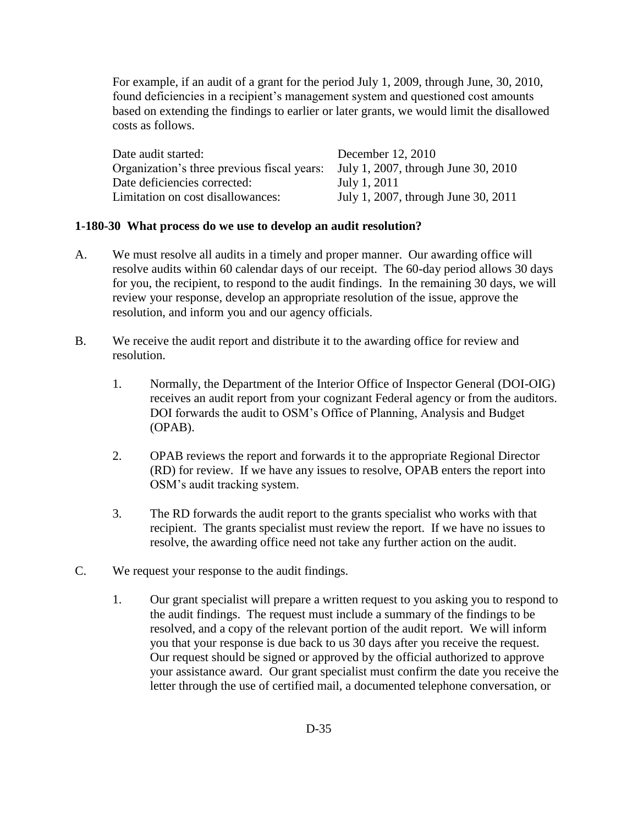For example, if an audit of a grant for the period July 1, 2009, through June, 30, 2010, found deficiencies in a recipient's management system and questioned cost amounts based on extending the findings to earlier or later grants, we would limit the disallowed costs as follows.

| Date audit started:                         | December 12, 2010                   |
|---------------------------------------------|-------------------------------------|
| Organization's three previous fiscal years: | July 1, 2007, through June 30, 2010 |
| Date deficiencies corrected:                | July 1, 2011                        |
| Limitation on cost disallowances:           | July 1, 2007, through June 30, 2011 |

#### <span id="page-1-0"></span>**1-180-30 What process do we use to develop an audit resolution?**

- A. We must resolve all audits in a timely and proper manner. Our awarding office will resolve audits within 60 calendar days of our receipt. The 60-day period allows 30 days for you, the recipient, to respond to the audit findings. In the remaining 30 days, we will review your response, develop an appropriate resolution of the issue, approve the resolution, and inform you and our agency officials.
- B. We receive the audit report and distribute it to the awarding office for review and resolution.
	- 1. Normally, the Department of the Interior Office of Inspector General (DOI-OIG) receives an audit report from your cognizant Federal agency or from the auditors. DOI forwards the audit to OSM's Office of Planning, Analysis and Budget (OPAB).
	- 2. OPAB reviews the report and forwards it to the appropriate Regional Director (RD) for review. If we have any issues to resolve, OPAB enters the report into OSM's audit tracking system.
	- 3. The RD forwards the audit report to the grants specialist who works with that recipient. The grants specialist must review the report. If we have no issues to resolve, the awarding office need not take any further action on the audit.
- C. We request your response to the audit findings.
	- 1. Our grant specialist will prepare a written request to you asking you to respond to the audit findings. The request must include a summary of the findings to be resolved, and a copy of the relevant portion of the audit report. We will inform you that your response is due back to us 30 days after you receive the request. Our request should be signed or approved by the official authorized to approve your assistance award. Our grant specialist must confirm the date you receive the letter through the use of certified mail, a documented telephone conversation, or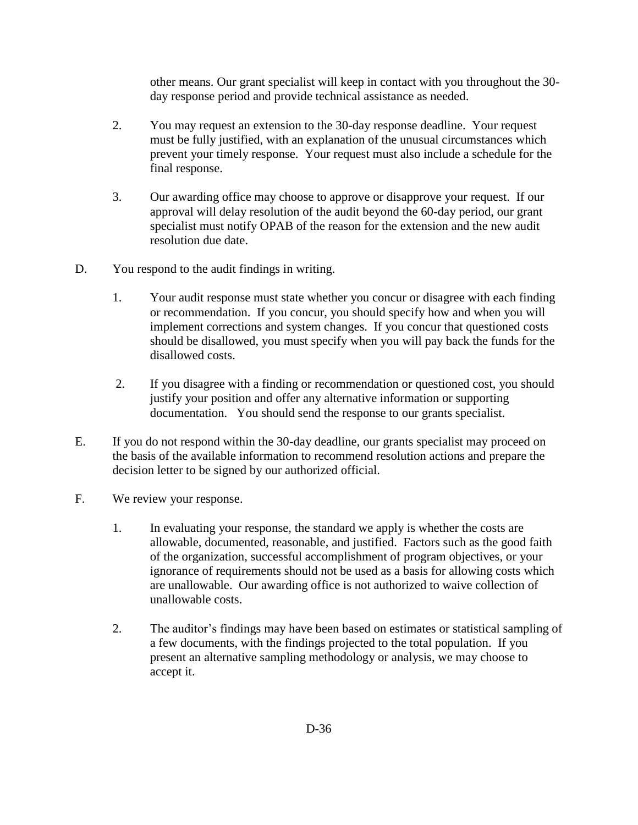other means. Our grant specialist will keep in contact with you throughout the 30 day response period and provide technical assistance as needed.

- 2. You may request an extension to the 30-day response deadline. Your request must be fully justified, with an explanation of the unusual circumstances which prevent your timely response. Your request must also include a schedule for the final response.
- 3. Our awarding office may choose to approve or disapprove your request. If our approval will delay resolution of the audit beyond the 60-day period, our grant specialist must notify OPAB of the reason for the extension and the new audit resolution due date.
- D. You respond to the audit findings in writing.
	- 1. Your audit response must state whether you concur or disagree with each finding or recommendation. If you concur, you should specify how and when you will implement corrections and system changes. If you concur that questioned costs should be disallowed, you must specify when you will pay back the funds for the disallowed costs.
	- 2. If you disagree with a finding or recommendation or questioned cost, you should justify your position and offer any alternative information or supporting documentation. You should send the response to our grants specialist.
- E. If you do not respond within the 30-day deadline, our grants specialist may proceed on the basis of the available information to recommend resolution actions and prepare the decision letter to be signed by our authorized official.
- F. We review your response.
	- 1. In evaluating your response, the standard we apply is whether the costs are allowable, documented, reasonable, and justified. Factors such as the good faith of the organization, successful accomplishment of program objectives, or your ignorance of requirements should not be used as a basis for allowing costs which are unallowable. Our awarding office is not authorized to waive collection of unallowable costs.
	- 2. The auditor's findings may have been based on estimates or statistical sampling of a few documents, with the findings projected to the total population. If you present an alternative sampling methodology or analysis, we may choose to accept it.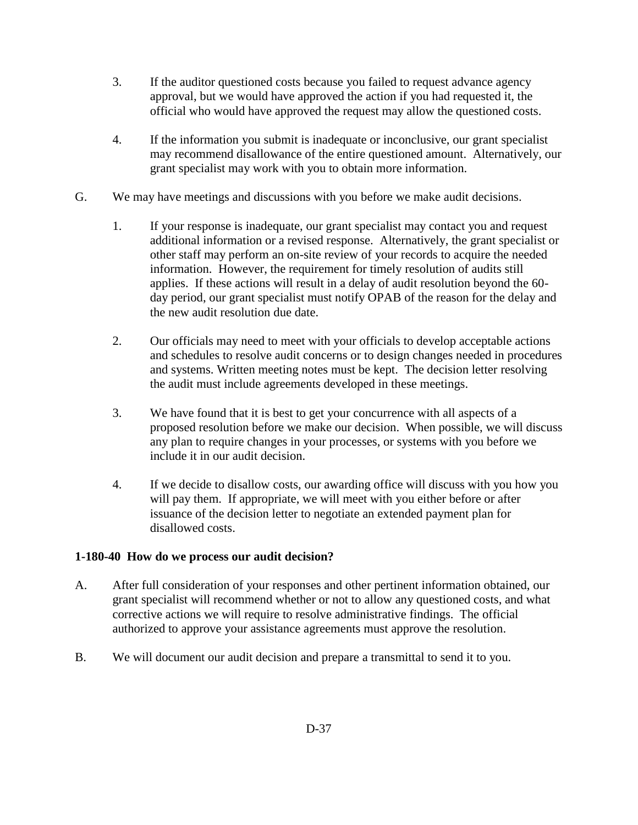- 3. If the auditor questioned costs because you failed to request advance agency approval, but we would have approved the action if you had requested it, the official who would have approved the request may allow the questioned costs.
- 4. If the information you submit is inadequate or inconclusive, our grant specialist may recommend disallowance of the entire questioned amount. Alternatively, our grant specialist may work with you to obtain more information.
- G. We may have meetings and discussions with you before we make audit decisions.
	- 1. If your response is inadequate, our grant specialist may contact you and request additional information or a revised response. Alternatively, the grant specialist or other staff may perform an on-site review of your records to acquire the needed information. However, the requirement for timely resolution of audits still applies. If these actions will result in a delay of audit resolution beyond the 60 day period, our grant specialist must notify OPAB of the reason for the delay and the new audit resolution due date.
	- 2. Our officials may need to meet with your officials to develop acceptable actions and schedules to resolve audit concerns or to design changes needed in procedures and systems. Written meeting notes must be kept. The decision letter resolving the audit must include agreements developed in these meetings.
	- 3. We have found that it is best to get your concurrence with all aspects of a proposed resolution before we make our decision. When possible, we will discuss any plan to require changes in your processes, or systems with you before we include it in our audit decision.
	- 4. If we decide to disallow costs, our awarding office will discuss with you how you will pay them. If appropriate, we will meet with you either before or after issuance of the decision letter to negotiate an extended payment plan for disallowed costs.

# <span id="page-3-0"></span>**1-180-40 How do we process our audit decision?**

- A. After full consideration of your responses and other pertinent information obtained, our grant specialist will recommend whether or not to allow any questioned costs, and what corrective actions we will require to resolve administrative findings. The official authorized to approve your assistance agreements must approve the resolution.
- B. We will document our audit decision and prepare a transmittal to send it to you.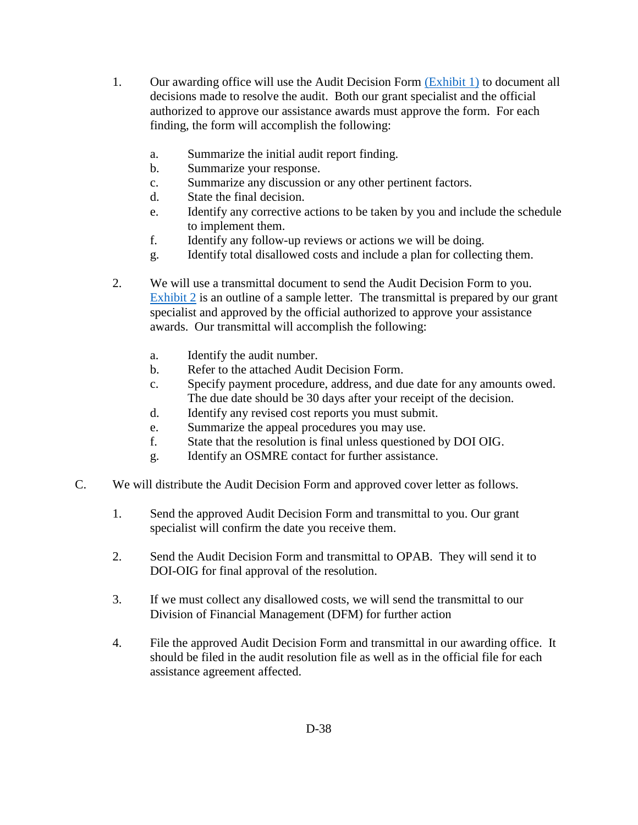- 1. Our awarding office will use the Audit Decision Form [\(Exhibit 1\)](#page-7-0) to document all decisions made to resolve the audit. Both our grant specialist and the official authorized to approve our assistance awards must approve the form. For each finding, the form will accomplish the following:
	- a. Summarize the initial audit report finding.
	- b. Summarize your response.
	- c. Summarize any discussion or any other pertinent factors.
	- d. State the final decision.
	- e. Identify any corrective actions to be taken by you and include the schedule to implement them.
	- f. Identify any follow-up reviews or actions we will be doing.
	- g. Identify total disallowed costs and include a plan for collecting them.
- 2. We will use a transmittal document to send the Audit Decision Form to you. [Exhibit 2](#page-8-0) is an outline of a sample letter. The transmittal is prepared by our grant specialist and approved by the official authorized to approve your assistance awards. Our transmittal will accomplish the following:
	- a. Identify the audit number.
	- b. Refer to the attached Audit Decision Form.
	- c. Specify payment procedure, address, and due date for any amounts owed. The due date should be 30 days after your receipt of the decision.
	- d. Identify any revised cost reports you must submit.
	- e. Summarize the appeal procedures you may use.
	- f. State that the resolution is final unless questioned by DOI OIG.
	- g. Identify an OSMRE contact for further assistance.
- C. We will distribute the Audit Decision Form and approved cover letter as follows.
	- 1. Send the approved Audit Decision Form and transmittal to you. Our grant specialist will confirm the date you receive them.
	- 2. Send the Audit Decision Form and transmittal to OPAB. They will send it to DOI-OIG for final approval of the resolution.
	- 3. If we must collect any disallowed costs, we will send the transmittal to our Division of Financial Management (DFM) for further action
	- 4. File the approved Audit Decision Form and transmittal in our awarding office. It should be filed in the audit resolution file as well as in the official file for each assistance agreement affected.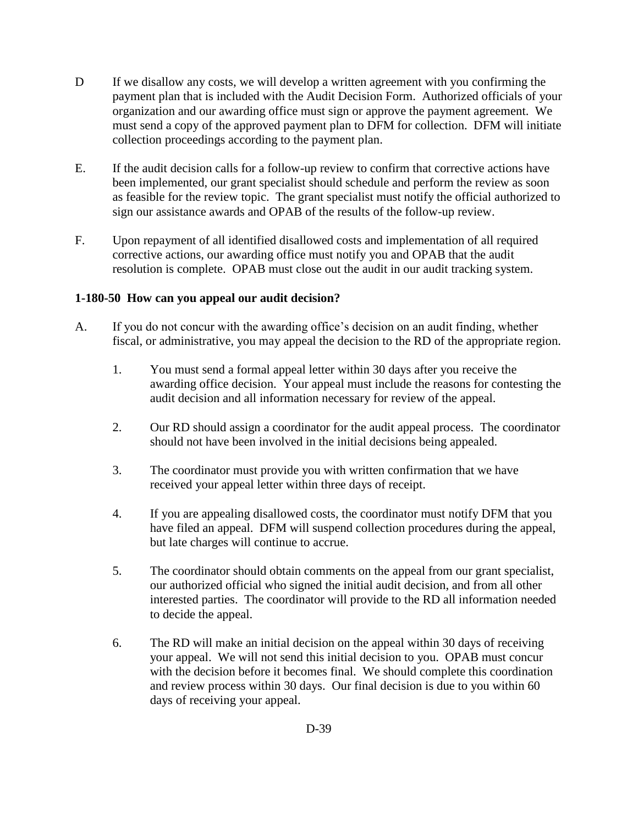- D If we disallow any costs, we will develop a written agreement with you confirming the payment plan that is included with the Audit Decision Form. Authorized officials of your organization and our awarding office must sign or approve the payment agreement. We must send a copy of the approved payment plan to DFM for collection. DFM will initiate collection proceedings according to the payment plan.
- E. If the audit decision calls for a follow-up review to confirm that corrective actions have been implemented, our grant specialist should schedule and perform the review as soon as feasible for the review topic. The grant specialist must notify the official authorized to sign our assistance awards and OPAB of the results of the follow-up review.
- F. Upon repayment of all identified disallowed costs and implementation of all required corrective actions, our awarding office must notify you and OPAB that the audit resolution is complete. OPAB must close out the audit in our audit tracking system.

## <span id="page-5-0"></span>**1-180-50 How can you appeal our audit decision?**

- A. If you do not concur with the awarding office's decision on an audit finding, whether fiscal, or administrative, you may appeal the decision to the RD of the appropriate region.
	- 1. You must send a formal appeal letter within 30 days after you receive the awarding office decision. Your appeal must include the reasons for contesting the audit decision and all information necessary for review of the appeal.
	- 2. Our RD should assign a coordinator for the audit appeal process. The coordinator should not have been involved in the initial decisions being appealed.
	- 3. The coordinator must provide you with written confirmation that we have received your appeal letter within three days of receipt.
	- 4. If you are appealing disallowed costs, the coordinator must notify DFM that you have filed an appeal. DFM will suspend collection procedures during the appeal, but late charges will continue to accrue.
	- 5. The coordinator should obtain comments on the appeal from our grant specialist, our authorized official who signed the initial audit decision, and from all other interested parties. The coordinator will provide to the RD all information needed to decide the appeal.
	- 6. The RD will make an initial decision on the appeal within 30 days of receiving your appeal. We will not send this initial decision to you. OPAB must concur with the decision before it becomes final. We should complete this coordination and review process within 30 days. Our final decision is due to you within 60 days of receiving your appeal.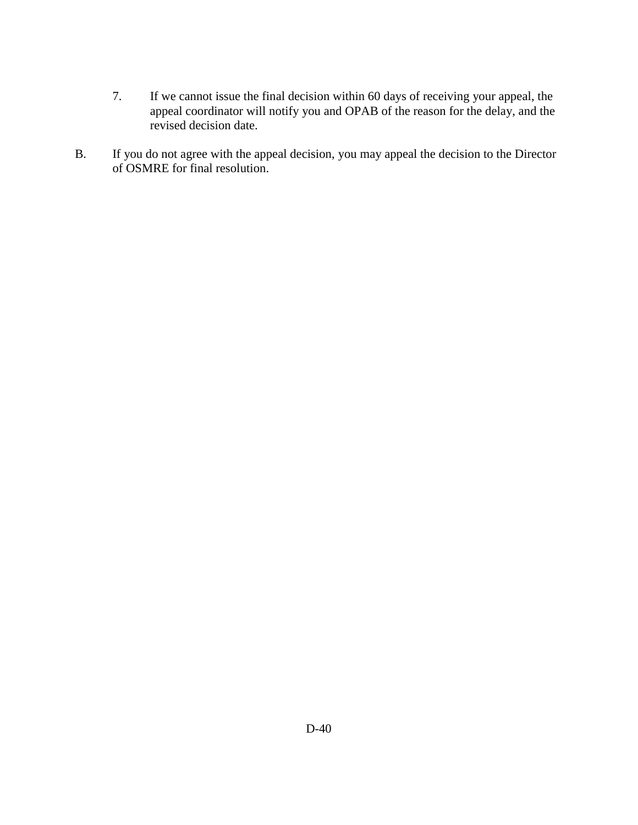- 7. If we cannot issue the final decision within 60 days of receiving your appeal, the appeal coordinator will notify you and OPAB of the reason for the delay, and the revised decision date.
- B. If you do not agree with the appeal decision, you may appeal the decision to the Director of OSMRE for final resolution.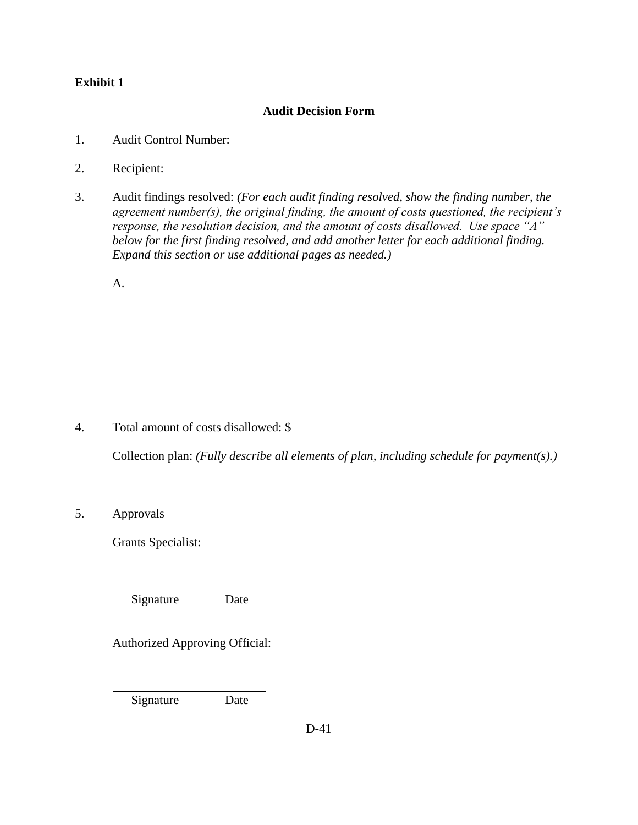# <span id="page-7-0"></span>**Exhibit 1**

# **Audit Decision Form**

- 1. Audit Control Number:
- 2. Recipient:
- 3. Audit findings resolved: *(For each audit finding resolved, show the finding number, the agreement number(s), the original finding, the amount of costs questioned, the recipient's response, the resolution decision, and the amount of costs disallowed. Use space "A" below for the first finding resolved, and add another letter for each additional finding. Expand this section or use additional pages as needed.)*

A.

4. Total amount of costs disallowed: \$

Collection plan: *(Fully describe all elements of plan, including schedule for payment(s).)*

5. Approvals

 $\overline{a}$ 

 $\overline{a}$ 

Grants Specialist:

Signature Date

Authorized Approving Official:

Signature Date